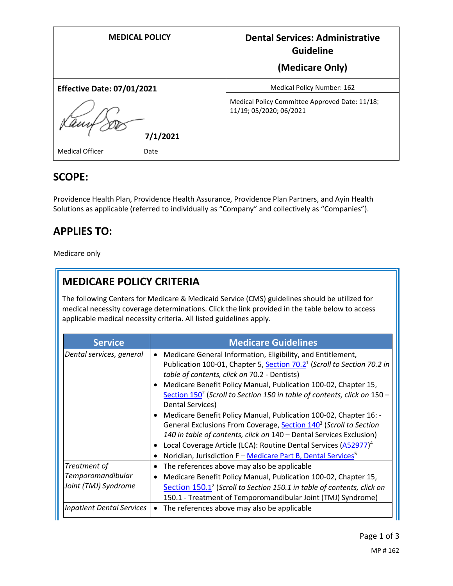| <b>MEDICAL POLICY</b>             | <b>Dental Services: Administrative</b><br><b>Guideline</b>                |
|-----------------------------------|---------------------------------------------------------------------------|
|                                   | (Medicare Only)                                                           |
| <b>Effective Date: 07/01/2021</b> | <b>Medical Policy Number: 162</b>                                         |
| 7/1/2021                          | Medical Policy Committee Approved Date: 11/18;<br>11/19; 05/2020; 06/2021 |
| <b>Medical Officer</b><br>Date    |                                                                           |

### **SCOPE:**

Providence Health Plan, Providence Health Assurance, Providence Plan Partners, and Ayin Health Solutions as applicable (referred to individually as "Company" and collectively as "Companies").

## **APPLIES TO:**

Medicare only

# **MEDICARE POLICY CRITERIA**

The following Centers for Medicare & Medicaid Service (CMS) guidelines should be utilized for medical necessity coverage determinations. Click the link provided in the table below to access applicable medical necessity criteria. All listed guidelines apply.

| <b>Service</b>                                            | <b>Medicare Guidelines</b>                                                                                                                                                                                                                                                                                                                                                                                                                                                                                                                                              |
|-----------------------------------------------------------|-------------------------------------------------------------------------------------------------------------------------------------------------------------------------------------------------------------------------------------------------------------------------------------------------------------------------------------------------------------------------------------------------------------------------------------------------------------------------------------------------------------------------------------------------------------------------|
| Dental services, general                                  | Medicare General Information, Eligibility, and Entitlement,<br>$\bullet$<br>Publication 100-01, Chapter 5, Section 70.2 <sup>1</sup> (Scroll to Section 70.2 in<br>table of contents, click on 70.2 - Dentists)<br>Medicare Benefit Policy Manual, Publication 100-02, Chapter 15,<br>$\bullet$<br>Section $150^2$ (Scroll to Section 150 in table of contents, click on $150 -$<br>Dental Services)<br>Medicare Benefit Policy Manual, Publication 100-02, Chapter 16: -<br>$\bullet$<br>General Exclusions From Coverage, Section 140 <sup>3</sup> (Scroll to Section |
|                                                           | 140 in table of contents, click on 140 - Dental Services Exclusion)<br>Local Coverage Article (LCA): Routine Dental Services (A52977) <sup>4</sup><br>Noridian, Jurisdiction F - Medicare Part B, Dental Services <sup>5</sup>                                                                                                                                                                                                                                                                                                                                          |
| Treatment of<br>Temporomandibular<br>Joint (TMJ) Syndrome | The references above may also be applicable<br>$\bullet$<br>Medicare Benefit Policy Manual, Publication 100-02, Chapter 15,<br>$\bullet$<br>Section 150.1 <sup>2</sup> (Scroll to Section 150.1 in table of contents, click on<br>150.1 - Treatment of Temporomandibular Joint (TMJ) Syndrome)                                                                                                                                                                                                                                                                          |
| <b>Inpatient Dental Services</b>                          | The references above may also be applicable<br>$\bullet$                                                                                                                                                                                                                                                                                                                                                                                                                                                                                                                |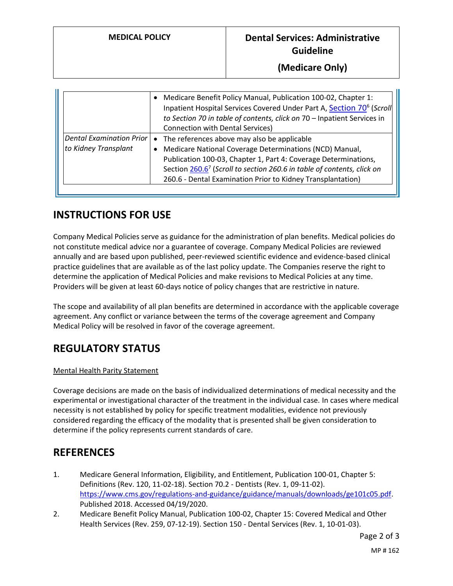|                                 | Medicare Benefit Policy Manual, Publication 100-02, Chapter 1:<br>$\bullet$<br>Inpatient Hospital Services Covered Under Part A, Section 70 <sup>6</sup> (Scroll<br>to Section 70 in table of contents, click on 70 - Inpatient Services in<br><b>Connection with Dental Services)</b> |
|---------------------------------|----------------------------------------------------------------------------------------------------------------------------------------------------------------------------------------------------------------------------------------------------------------------------------------|
| <b>Dental Examination Prior</b> | The references above may also be applicable<br>$\bullet$                                                                                                                                                                                                                               |
| to Kidney Transplant            | Medicare National Coverage Determinations (NCD) Manual,<br>$\bullet$                                                                                                                                                                                                                   |
|                                 | Publication 100-03, Chapter 1, Part 4: Coverage Determinations,                                                                                                                                                                                                                        |
|                                 | Section 260.6 <sup>7</sup> (Scroll to section 260.6 in table of contents, click on                                                                                                                                                                                                     |
|                                 | 260.6 - Dental Examination Prior to Kidney Transplantation)                                                                                                                                                                                                                            |
|                                 |                                                                                                                                                                                                                                                                                        |

#### **INSTRUCTIONS FOR USE**

Company Medical Policies serve as guidance for the administration of plan benefits. Medical policies do not constitute medical advice nor a guarantee of coverage. Company Medical Policies are reviewed annually and are based upon published, peer-reviewed scientific evidence and evidence-based clinical practice guidelines that are available as of the last policy update. The Companies reserve the right to determine the application of Medical Policies and make revisions to Medical Policies at any time. Providers will be given at least 60-days notice of policy changes that are restrictive in nature.

The scope and availability of all plan benefits are determined in accordance with the applicable coverage agreement. Any conflict or variance between the terms of the coverage agreement and Company Medical Policy will be resolved in favor of the coverage agreement.

## **REGULATORY STATUS**

#### Mental Health Parity Statement

Coverage decisions are made on the basis of individualized determinations of medical necessity and the experimental or investigational character of the treatment in the individual case. In cases where medical necessity is not established by policy for specific treatment modalities, evidence not previously considered regarding the efficacy of the modality that is presented shall be given consideration to determine if the policy represents current standards of care.

#### **REFERENCES**

- 1. Medicare General Information, Eligibility, and Entitlement, Publication 100-01, Chapter 5: Definitions (Rev. 120, 11-02-18). Section 70.2 - Dentists (Rev. 1, 09-11-02). [https://www.cms.gov/regulations-and-guidance/guidance/manuals/downloads/ge101c05.pdf.](https://www.cms.gov/regulations-and-guidance/guidance/manuals/downloads/ge101c05.pdf) Published 2018. Accessed 04/19/2020.
- 2. Medicare Benefit Policy Manual, Publication 100-02, Chapter 15: Covered Medical and Other Health Services (Rev. 259, 07-12-19). Section 150 - Dental Services (Rev. 1, 10-01-03).